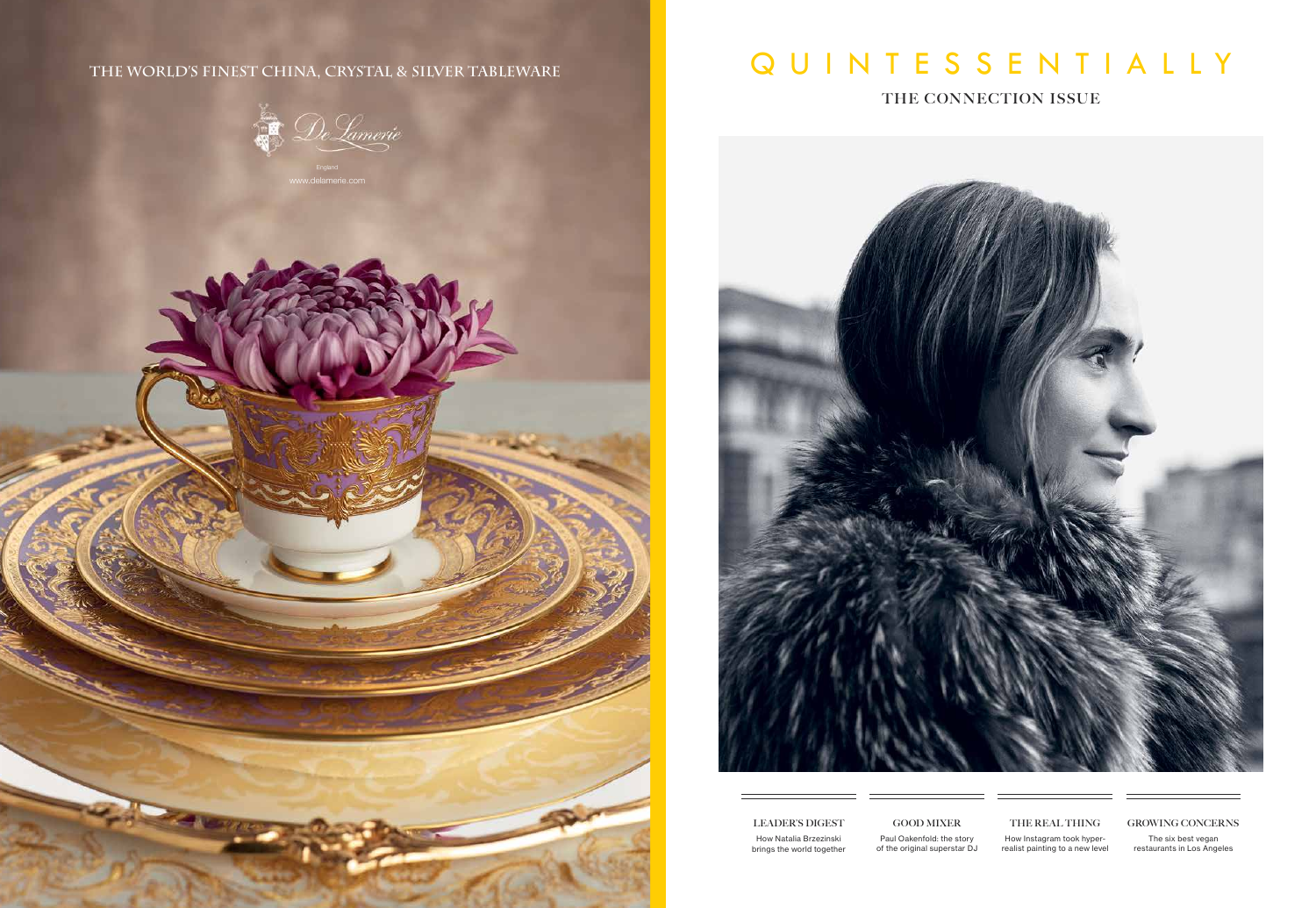## QUINTESSENTIALLY

**THE CONNECTION ISSUE**



## **LEADER'S DIGEST**

How Natalia Brzezinski brings the world together

**GOOD MIXER** Paul Oakenfold: the story of the original superstar DJ

**THE REAL THING** How Instagram took hyperrealist painting to a new level

## **GROWING CONCERNS**

The six best vegan restaurants in Los Angeles